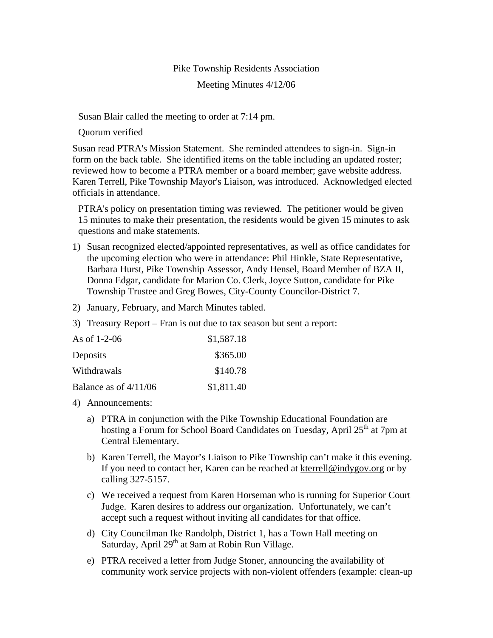## Pike Township Residents Association

## Meeting Minutes 4/12/06

Susan Blair called the meeting to order at 7:14 pm.

Quorum verified

Susan read PTRA's Mission Statement. She reminded attendees to sign-in. Sign-in form on the back table. She identified items on the table including an updated roster; reviewed how to become a PTRA member or a board member; gave website address. Karen Terrell, Pike Township Mayor's Liaison, was introduced. Acknowledged elected officials in attendance.

PTRA's policy on presentation timing was reviewed. The petitioner would be given 15 minutes to make their presentation, the residents would be given 15 minutes to ask questions and make statements.

- 1) Susan recognized elected/appointed representatives, as well as office candidates for the upcoming election who were in attendance: Phil Hinkle, State Representative, Barbara Hurst, Pike Township Assessor, Andy Hensel, Board Member of BZA II, Donna Edgar, candidate for Marion Co. Clerk, Joyce Sutton, candidate for Pike Township Trustee and Greg Bowes, City-County Councilor-District 7.
- 2) January, February, and March Minutes tabled.
- 3) Treasury Report Fran is out due to tax season but sent a report:

| As of $1-2-06$          | \$1,587.18 |
|-------------------------|------------|
| Deposits                | \$365.00   |
| Withdrawals             | \$140.78   |
| Balance as of $4/11/06$ | \$1,811.40 |

- 4) Announcements:
	- a) PTRA in conjunction with the Pike Township Educational Foundation are hosting a Forum for School Board Candidates on Tuesday, April 25<sup>th</sup> at 7pm at Central Elementary.
	- b) Karen Terrell, the Mayor's Liaison to Pike Township can't make it this evening. If you need to contact her, Karen can be reached at kterrell@indygov.org or by calling 327-5157.
	- c) We received a request from Karen Horseman who is running for Superior Court Judge. Karen desires to address our organization. Unfortunately, we can't accept such a request without inviting all candidates for that office.
	- d) City Councilman Ike Randolph, District 1, has a Town Hall meeting on Saturday, April 29<sup>th</sup> at 9am at Robin Run Village.
	- e) PTRA received a letter from Judge Stoner, announcing the availability of community work service projects with non-violent offenders (example: clean-up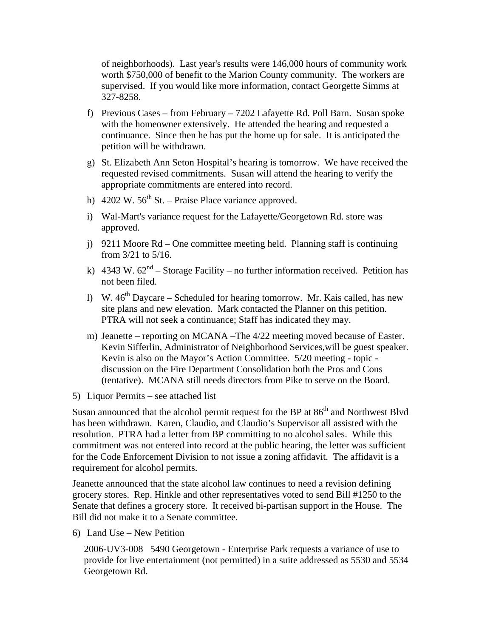of neighborhoods). Last year's results were 146,000 hours of community work worth \$750,000 of benefit to the Marion County community. The workers are supervised. If you would like more information, contact Georgette Simms at 327-8258.

- f) Previous Cases from February 7202 Lafayette Rd. Poll Barn. Susan spoke with the homeowner extensively. He attended the hearing and requested a continuance. Since then he has put the home up for sale. It is anticipated the petition will be withdrawn.
- g) St. Elizabeth Ann Seton Hospital's hearing is tomorrow. We have received the requested revised commitments. Susan will attend the hearing to verify the appropriate commitments are entered into record.
- h) 4202 W.  $56<sup>th</sup>$  St. Praise Place variance approved.
- i) Wal-Mart's variance request for the Lafayette/Georgetown Rd. store was approved.
- j) 9211 Moore Rd One committee meeting held. Planning staff is continuing from 3/21 to 5/16.
- k) 4343 W.  $62<sup>nd</sup> Storage Facility no further information received. Petition has$ not been filed.
- l) W.  $46<sup>th</sup>$  Daycare Scheduled for hearing tomorrow. Mr. Kais called, has new site plans and new elevation. Mark contacted the Planner on this petition. PTRA will not seek a continuance; Staff has indicated they may.
- m) Jeanette reporting on MCANA –The 4/22 meeting moved because of Easter. Kevin Sifferlin, Administrator of Neighborhood Services,will be guest speaker. Kevin is also on the Mayor's Action Committee. 5/20 meeting - topic discussion on the Fire Department Consolidation both the Pros and Cons (tentative). MCANA still needs directors from Pike to serve on the Board.

5) Liquor Permits – see attached list

Susan announced that the alcohol permit request for the BP at  $86<sup>th</sup>$  and Northwest Blvd has been withdrawn. Karen, Claudio, and Claudio's Supervisor all assisted with the resolution. PTRA had a letter from BP committing to no alcohol sales. While this commitment was not entered into record at the public hearing, the letter was sufficient for the Code Enforcement Division to not issue a zoning affidavit. The affidavit is a requirement for alcohol permits.

Jeanette announced that the state alcohol law continues to need a revision defining grocery stores. Rep. Hinkle and other representatives voted to send Bill #1250 to the Senate that defines a grocery store. It received bi-partisan support in the House. The Bill did not make it to a Senate committee.

6) Land Use – New Petition

2006-UV3-008 5490 Georgetown - Enterprise Park requests a variance of use to provide for live entertainment (not permitted) in a suite addressed as 5530 and 5534 Georgetown Rd.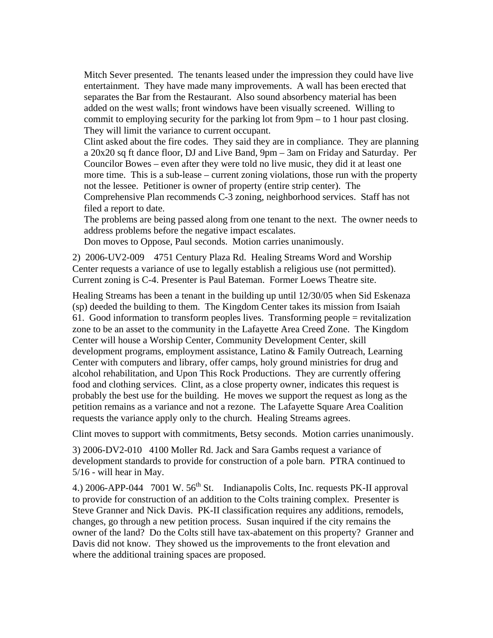Mitch Sever presented. The tenants leased under the impression they could have live entertainment. They have made many improvements. A wall has been erected that separates the Bar from the Restaurant. Also sound absorbency material has been added on the west walls; front windows have been visually screened. Willing to commit to employing security for the parking lot from 9pm – to 1 hour past closing. They will limit the variance to current occupant.

Clint asked about the fire codes. They said they are in compliance. They are planning a 20x20 sq ft dance floor, DJ and Live Band, 9pm – 3am on Friday and Saturday. Per Councilor Bowes – even after they were told no live music, they did it at least one more time. This is a sub-lease – current zoning violations, those run with the property not the lessee. Petitioner is owner of property (entire strip center). The

Comprehensive Plan recommends C-3 zoning, neighborhood services. Staff has not filed a report to date.

The problems are being passed along from one tenant to the next. The owner needs to address problems before the negative impact escalates.

Don moves to Oppose, Paul seconds. Motion carries unanimously.

2) 2006-UV2-009 4751 Century Plaza Rd. Healing Streams Word and Worship Center requests a variance of use to legally establish a religious use (not permitted). Current zoning is C-4. Presenter is Paul Bateman. Former Loews Theatre site.

Healing Streams has been a tenant in the building up until 12/30/05 when Sid Eskenaza (sp) deeded the building to them. The Kingdom Center takes its mission from Isaiah 61. Good information to transform peoples lives. Transforming people = revitalization zone to be an asset to the community in the Lafayette Area Creed Zone. The Kingdom Center will house a Worship Center, Community Development Center, skill development programs, employment assistance, Latino & Family Outreach, Learning Center with computers and library, offer camps, holy ground ministries for drug and alcohol rehabilitation, and Upon This Rock Productions. They are currently offering food and clothing services. Clint, as a close property owner, indicates this request is probably the best use for the building. He moves we support the request as long as the petition remains as a variance and not a rezone. The Lafayette Square Area Coalition requests the variance apply only to the church. Healing Streams agrees.

Clint moves to support with commitments, Betsy seconds. Motion carries unanimously.

3) 2006-DV2-010 4100 Moller Rd. Jack and Sara Gambs request a variance of development standards to provide for construction of a pole barn. PTRA continued to 5/16 - will hear in May.

4.) 2006-APP-044 7001 W.  $56<sup>th</sup>$  St. Indianapolis Colts, Inc. requests PK-II approval to provide for construction of an addition to the Colts training complex. Presenter is Steve Granner and Nick Davis. PK-II classification requires any additions, remodels, changes, go through a new petition process. Susan inquired if the city remains the owner of the land? Do the Colts still have tax-abatement on this property? Granner and Davis did not know. They showed us the improvements to the front elevation and where the additional training spaces are proposed.